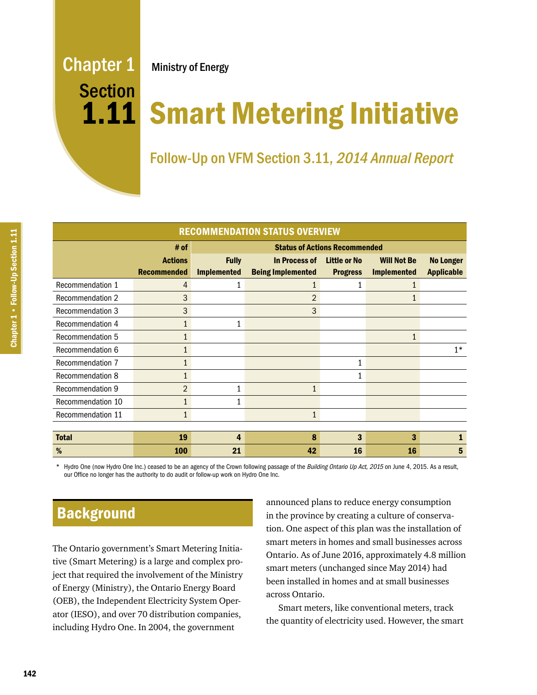# Chapter 1 Ministry of Energy **Section**

# 1.11 Smart Metering Initiative

Follow-Up on VFM Section 3.11, 2014 Annual Report

| <b>RECOMMENDATION STATUS OVERVIEW</b> |                                      |                                      |                                                  |                                        |                                          |                                       |
|---------------------------------------|--------------------------------------|--------------------------------------|--------------------------------------------------|----------------------------------------|------------------------------------------|---------------------------------------|
|                                       | # of                                 | <b>Status of Actions Recommended</b> |                                                  |                                        |                                          |                                       |
|                                       | <b>Actions</b><br><b>Recommended</b> | <b>Fully</b><br><b>Implemented</b>   | <b>In Process of</b><br><b>Being Implemented</b> | <b>Little or No</b><br><b>Progress</b> | <b>Will Not Be</b><br><b>Implemented</b> | <b>No Longer</b><br><b>Applicable</b> |
| Recommendation 1                      | 4                                    |                                      |                                                  |                                        |                                          |                                       |
| <b>Recommendation 2</b>               | 3                                    |                                      | $\overline{2}$                                   |                                        |                                          |                                       |
| <b>Recommendation 3</b>               | 3                                    |                                      | 3                                                |                                        |                                          |                                       |
| Recommendation 4                      | 1                                    |                                      |                                                  |                                        |                                          |                                       |
| Recommendation 5                      | 1                                    |                                      |                                                  |                                        | 1                                        |                                       |
| Recommendation 6                      | 1                                    |                                      |                                                  |                                        |                                          | $1*$                                  |
| Recommendation 7                      |                                      |                                      |                                                  |                                        |                                          |                                       |
| <b>Recommendation 8</b>               |                                      |                                      |                                                  |                                        |                                          |                                       |
| <b>Recommendation 9</b>               | $\overline{2}$                       | 1                                    |                                                  |                                        |                                          |                                       |
| Recommendation 10                     | $\mathbf{1}$                         |                                      |                                                  |                                        |                                          |                                       |
| Recommendation 11                     | $\mathbf{1}$                         |                                      | $\mathbf{1}$                                     |                                        |                                          |                                       |
|                                       |                                      |                                      |                                                  |                                        |                                          |                                       |
| <b>Total</b>                          | 19                                   | 4                                    | 8                                                | 3                                      | 3                                        | 1                                     |
| %                                     | 100                                  | 21                                   | 42                                               | 16                                     | 16                                       | 5                                     |

Hydro One (now Hydro One Inc.) ceased to be an agency of the Crown following passage of the Building Ontario Up Act, 2015 on June 4, 2015. As a result, our Office no longer has the authority to do audit or follow-up work on Hydro One Inc.

**Background** 

The Ontario government's Smart Metering Initiative (Smart Metering) is a large and complex project that required the involvement of the Ministry of Energy (Ministry), the Ontario Energy Board (OEB), the Independent Electricity System Operator (IESO), and over 70 distribution companies, including Hydro One. In 2004, the government

announced plans to reduce energy consumption in the province by creating a culture of conservation. One aspect of this plan was the installation of smart meters in homes and small businesses across Ontario. As of June 2016, approximately 4.8 million smart meters (unchanged since May 2014) had been installed in homes and at small businesses across Ontario.

Smart meters, like conventional meters, track the quantity of electricity used. However, the smart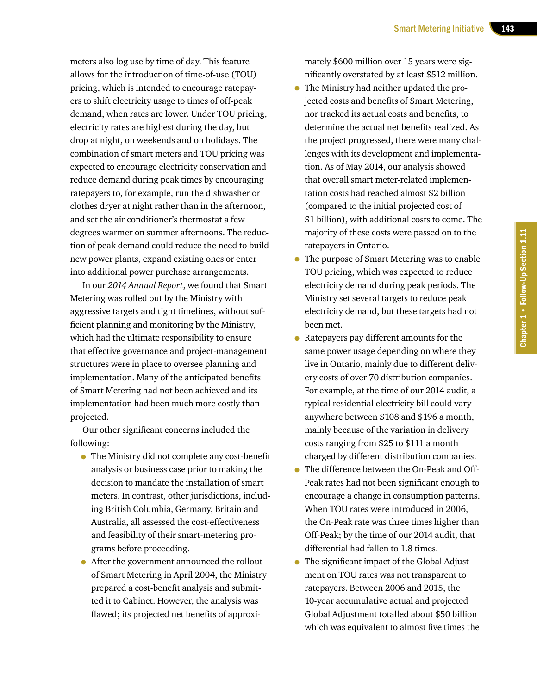meters also log use by time of day. This feature allows for the introduction of time-of-use (TOU) pricing, which is intended to encourage ratepayers to shift electricity usage to times of off-peak demand, when rates are lower. Under TOU pricing, electricity rates are highest during the day, but drop at night, on weekends and on holidays. The combination of smart meters and TOU pricing was expected to encourage electricity conservation and reduce demand during peak times by encouraging ratepayers to, for example, run the dishwasher or clothes dryer at night rather than in the afternoon, and set the air conditioner's thermostat a few degrees warmer on summer afternoons. The reduction of peak demand could reduce the need to build new power plants, expand existing ones or enter into additional power purchase arrangements.

In our *2014 Annual Report*, we found that Smart Metering was rolled out by the Ministry with aggressive targets and tight timelines, without sufficient planning and monitoring by the Ministry, which had the ultimate responsibility to ensure that effective governance and project-management structures were in place to oversee planning and implementation. Many of the anticipated benefits of Smart Metering had not been achieved and its implementation had been much more costly than projected.

Our other significant concerns included the following:

- The Ministry did not complete any cost-benefit analysis or business case prior to making the decision to mandate the installation of smart meters. In contrast, other jurisdictions, including British Columbia, Germany, Britain and Australia, all assessed the cost-effectiveness and feasibility of their smart-metering programs before proceeding.
- After the government announced the rollout of Smart Metering in April 2004, the Ministry prepared a cost-benefit analysis and submitted it to Cabinet. However, the analysis was flawed; its projected net benefits of approxi-

mately \$600 million over 15 years were significantly overstated by at least \$512 million.

- The Ministry had neither updated the projected costs and benefits of Smart Metering, nor tracked its actual costs and benefits, to determine the actual net benefits realized. As the project progressed, there were many challenges with its development and implementation. As of May 2014, our analysis showed that overall smart meter-related implementation costs had reached almost \$2 billion (compared to the initial projected cost of \$1 billion), with additional costs to come. The majority of these costs were passed on to the ratepayers in Ontario.
- The purpose of Smart Metering was to enable TOU pricing, which was expected to reduce electricity demand during peak periods. The Ministry set several targets to reduce peak electricity demand, but these targets had not been met.
- Ratepayers pay different amounts for the same power usage depending on where they live in Ontario, mainly due to different delivery costs of over 70 distribution companies. For example, at the time of our 2014 audit, a typical residential electricity bill could vary anywhere between \$108 and \$196 a month, mainly because of the variation in delivery costs ranging from \$25 to \$111 a month charged by different distribution companies.
- The difference between the On-Peak and Off-Peak rates had not been significant enough to encourage a change in consumption patterns. When TOU rates were introduced in 2006, the On-Peak rate was three times higher than Off-Peak; by the time of our 2014 audit, that differential had fallen to 1.8 times.
- The significant impact of the Global Adjustment on TOU rates was not transparent to ratepayers. Between 2006 and 2015, the 10-year accumulative actual and projected Global Adjustment totalled about \$50 billion which was equivalent to almost five times the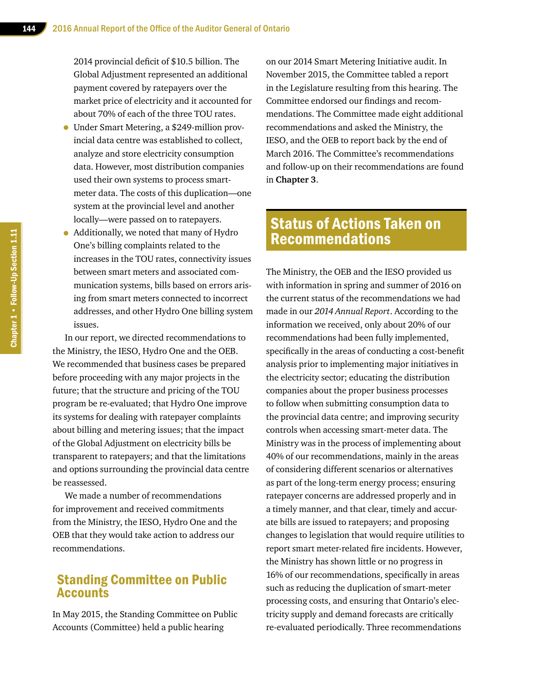2014 provincial deficit of \$10.5 billion. The Global Adjustment represented an additional payment covered by ratepayers over the market price of electricity and it accounted for about 70% of each of the three TOU rates.

- Under Smart Metering, a \$249-million provincial data centre was established to collect, analyze and store electricity consumption data. However, most distribution companies used their own systems to process smartmeter data. The costs of this duplication—one system at the provincial level and another locally—were passed on to ratepayers.
- Additionally, we noted that many of Hydro One's billing complaints related to the increases in the TOU rates, connectivity issues between smart meters and associated communication systems, bills based on errors arising from smart meters connected to incorrect addresses, and other Hydro One billing system issues.

In our report, we directed recommendations to the Ministry, the IESO, Hydro One and the OEB. We recommended that business cases be prepared before proceeding with any major projects in the future; that the structure and pricing of the TOU program be re-evaluated; that Hydro One improve its systems for dealing with ratepayer complaints about billing and metering issues; that the impact of the Global Adjustment on electricity bills be transparent to ratepayers; and that the limitations and options surrounding the provincial data centre be reassessed.

We made a number of recommendations for improvement and received commitments from the Ministry, the IESO, Hydro One and the OEB that they would take action to address our recommendations.

# Standing Committee on Public **Accounts**

In May 2015, the Standing Committee on Public Accounts (Committee) held a public hearing

on our 2014 Smart Metering Initiative audit. In November 2015, the Committee tabled a report in the Legislature resulting from this hearing. The Committee endorsed our findings and recommendations. The Committee made eight additional recommendations and asked the Ministry, the IESO, and the OEB to report back by the end of March 2016. The Committee's recommendations and follow-up on their recommendations are found in **Chapter 3**.

# Status of Actions Taken on Recommendations

The Ministry, the OEB and the IESO provided us with information in spring and summer of 2016 on the current status of the recommendations we had made in our *2014 Annual Report*. According to the information we received, only about 20% of our recommendations had been fully implemented, specifically in the areas of conducting a cost-benefit analysis prior to implementing major initiatives in the electricity sector; educating the distribution companies about the proper business processes to follow when submitting consumption data to the provincial data centre; and improving security controls when accessing smart-meter data. The Ministry was in the process of implementing about 40% of our recommendations, mainly in the areas of considering different scenarios or alternatives as part of the long-term energy process; ensuring ratepayer concerns are addressed properly and in a timely manner, and that clear, timely and accurate bills are issued to ratepayers; and proposing changes to legislation that would require utilities to report smart meter-related fire incidents. However, the Ministry has shown little or no progress in 16% of our recommendations, specifically in areas such as reducing the duplication of smart-meter processing costs, and ensuring that Ontario's electricity supply and demand forecasts are critically re-evaluated periodically. Three recommendations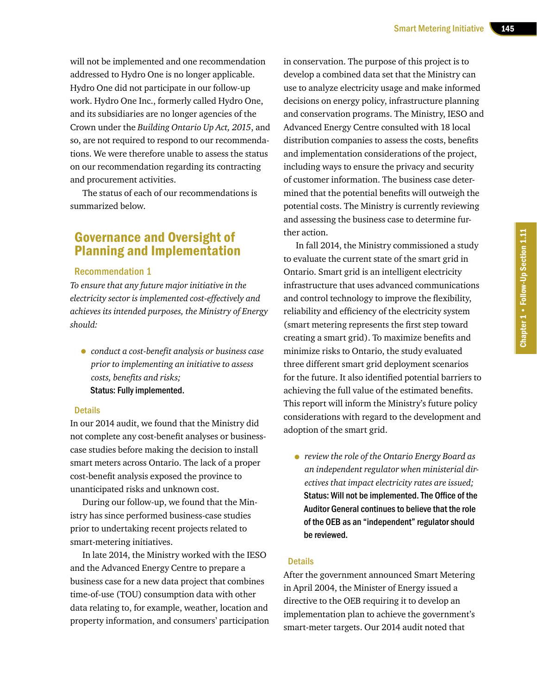will not be implemented and one recommendation addressed to Hydro One is no longer applicable. Hydro One did not participate in our follow-up work. Hydro One Inc., formerly called Hydro One, and its subsidiaries are no longer agencies of the Crown under the *Building Ontario Up Act, 2015*, and so, are not required to respond to our recommendations. We were therefore unable to assess the status on our recommendation regarding its contracting and procurement activities.

The status of each of our recommendations is summarized below.

# Governance and Oversight of Planning and Implementation

#### Recommendation 1

*To ensure that any future major initiative in the electricity sector is implemented cost-effectively and achieves its intended purposes, the Ministry of Energy should:*

• *conduct <sup>a</sup> cost-benefit analysis or business case prior to implementing an initiative to assess costs, benefits and risks;* Status: Fully implemented.

#### **Details**

In our 2014 audit, we found that the Ministry did not complete any cost-benefit analyses or businesscase studies before making the decision to install smart meters across Ontario. The lack of a proper cost-benefit analysis exposed the province to unanticipated risks and unknown cost.

During our follow-up, we found that the Ministry has since performed business-case studies prior to undertaking recent projects related to smart-metering initiatives.

In late 2014, the Ministry worked with the IESO and the Advanced Energy Centre to prepare a business case for a new data project that combines time-of-use (TOU) consumption data with other data relating to, for example, weather, location and property information, and consumers' participation in conservation. The purpose of this project is to develop a combined data set that the Ministry can use to analyze electricity usage and make informed decisions on energy policy, infrastructure planning and conservation programs. The Ministry, IESO and Advanced Energy Centre consulted with 18 local distribution companies to assess the costs, benefits and implementation considerations of the project, including ways to ensure the privacy and security of customer information. The business case determined that the potential benefits will outweigh the potential costs. The Ministry is currently reviewing and assessing the business case to determine further action.

In fall 2014, the Ministry commissioned a study to evaluate the current state of the smart grid in Ontario. Smart grid is an intelligent electricity infrastructure that uses advanced communications and control technology to improve the flexibility, reliability and efficiency of the electricity system (smart metering represents the first step toward creating a smart grid). To maximize benefits and minimize risks to Ontario, the study evaluated three different smart grid deployment scenarios for the future. It also identified potential barriers to achieving the full value of the estimated benefits. This report will inform the Ministry's future policy considerations with regard to the development and adoption of the smart grid.

• *review the role of the Ontario Energy Board as an independent regulator when ministerial directives that impact electricity rates are issued;* Status: Will not be implemented. The Office of the Auditor General continues to believe that the role of the OEB as an "independent" regulator should be reviewed.

#### **Details**

After the government announced Smart Metering in April 2004, the Minister of Energy issued a directive to the OEB requiring it to develop an implementation plan to achieve the government's smart-meter targets. Our 2014 audit noted that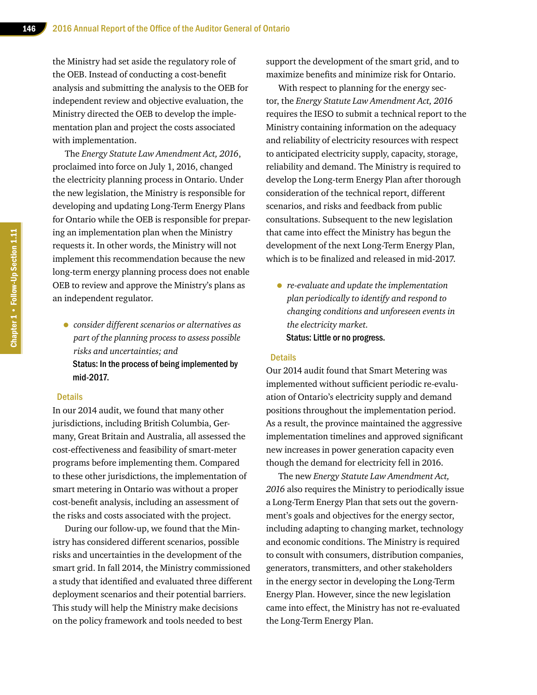the Ministry had set aside the regulatory role of the OEB. Instead of conducting a cost-benefit analysis and submitting the analysis to the OEB for independent review and objective evaluation, the Ministry directed the OEB to develop the implementation plan and project the costs associated with implementation.

The *Energy Statute Law Amendment Act, 2016*, proclaimed into force on July 1, 2016, changed the electricity planning process in Ontario. Under the new legislation, the Ministry is responsible for developing and updating Long-Term Energy Plans for Ontario while the OEB is responsible for preparing an implementation plan when the Ministry requests it. In other words, the Ministry will not implement this recommendation because the new long-term energy planning process does not enable OEB to review and approve the Ministry's plans as an independent regulator.

• *consider different scenarios or alternatives as part of the planning process to assess possible risks and uncertainties; and* Status: In the process of being implemented by mid-2017.

## **Details**

In our 2014 audit, we found that many other jurisdictions, including British Columbia, Germany, Great Britain and Australia, all assessed the cost-effectiveness and feasibility of smart-meter programs before implementing them. Compared to these other jurisdictions, the implementation of smart metering in Ontario was without a proper cost-benefit analysis, including an assessment of the risks and costs associated with the project.

During our follow-up, we found that the Ministry has considered different scenarios, possible risks and uncertainties in the development of the smart grid. In fall 2014, the Ministry commissioned a study that identified and evaluated three different deployment scenarios and their potential barriers. This study will help the Ministry make decisions on the policy framework and tools needed to best

support the development of the smart grid, and to maximize benefits and minimize risk for Ontario.

With respect to planning for the energy sector, the *Energy Statute Law Amendment Act, 2016* requires the IESO to submit a technical report to the Ministry containing information on the adequacy and reliability of electricity resources with respect to anticipated electricity supply, capacity, storage, reliability and demand. The Ministry is required to develop the Long-term Energy Plan after thorough consideration of the technical report, different scenarios, and risks and feedback from public consultations. Subsequent to the new legislation that came into effect the Ministry has begun the development of the next Long-Term Energy Plan, which is to be finalized and released in mid-2017.

• *re-evaluate and update the implementation plan periodically to identify and respond to changing conditions and unforeseen events in the electricity market.* Status: Little or no progress.

#### **Details**

Our 2014 audit found that Smart Metering was implemented without sufficient periodic re-evaluation of Ontario's electricity supply and demand positions throughout the implementation period. As a result, the province maintained the aggressive implementation timelines and approved significant new increases in power generation capacity even though the demand for electricity fell in 2016.

The new *Energy Statute Law Amendment Act, 2016* also requires the Ministry to periodically issue a Long-Term Energy Plan that sets out the government's goals and objectives for the energy sector, including adapting to changing market, technology and economic conditions. The Ministry is required to consult with consumers, distribution companies, generators, transmitters, and other stakeholders in the energy sector in developing the Long-Term Energy Plan. However, since the new legislation came into effect, the Ministry has not re-evaluated the Long-Term Energy Plan.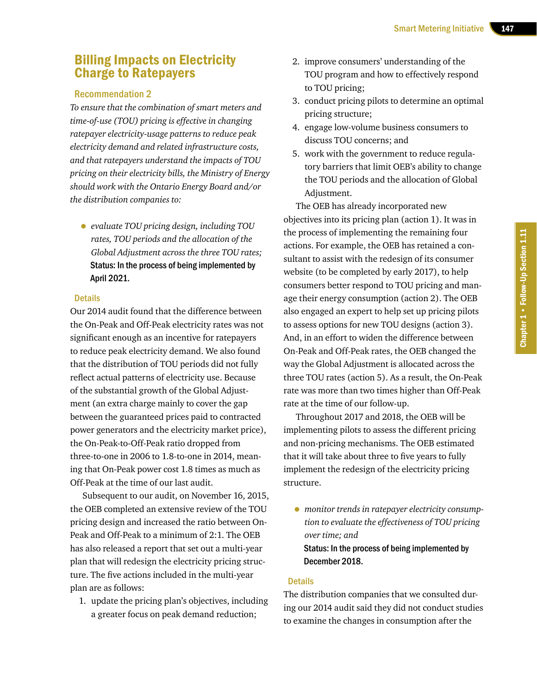# Billing Impacts on Electricity Charge to Ratepayers

## Recommendation 2

*To ensure that the combination of smart meters and time-of-use (TOU) pricing is effective in changing ratepayer electricity-usage patterns to reduce peak electricity demand and related infrastructure costs, and that ratepayers understand the impacts of TOU pricing on their electricity bills, the Ministry of Energy should work with the Ontario Energy Board and/or the distribution companies to:*

• *evaluate TOU pricing design, including TOU rates, TOU periods and the allocation of the Global Adjustment across the three TOU rates;* Status: In the process of being implemented by April 2021.

#### **Details**

Our 2014 audit found that the difference between the On-Peak and Off-Peak electricity rates was not significant enough as an incentive for ratepayers to reduce peak electricity demand. We also found that the distribution of TOU periods did not fully reflect actual patterns of electricity use. Because of the substantial growth of the Global Adjustment (an extra charge mainly to cover the gap between the guaranteed prices paid to contracted power generators and the electricity market price), the On-Peak-to-Off-Peak ratio dropped from three-to-one in 2006 to 1.8-to-one in 2014, meaning that On-Peak power cost 1.8 times as much as Off-Peak at the time of our last audit.

Subsequent to our audit, on November 16, 2015, the OEB completed an extensive review of the TOU pricing design and increased the ratio between On-Peak and Off-Peak to a minimum of 2:1. The OEB has also released a report that set out a multi-year plan that will redesign the electricity pricing structure. The five actions included in the multi-year plan are as follows:

1. update the pricing plan's objectives, including a greater focus on peak demand reduction;

- 2. improve consumers' understanding of the TOU program and how to effectively respond to TOU pricing;
- 3. conduct pricing pilots to determine an optimal pricing structure;
- 4. engage low-volume business consumers to discuss TOU concerns; and
- 5. work with the government to reduce regulatory barriers that limit OEB's ability to change the TOU periods and the allocation of Global Adjustment.

The OEB has already incorporated new objectives into its pricing plan (action 1). It was in the process of implementing the remaining four actions. For example, the OEB has retained a consultant to assist with the redesign of its consumer website (to be completed by early 2017), to help consumers better respond to TOU pricing and manage their energy consumption (action 2). The OEB also engaged an expert to help set up pricing pilots to assess options for new TOU designs (action 3). And, in an effort to widen the difference between On-Peak and Off-Peak rates, the OEB changed the way the Global Adjustment is allocated across the three TOU rates (action 5). As a result, the On-Peak rate was more than two times higher than Off-Peak rate at the time of our follow-up.

Throughout 2017 and 2018, the OEB will be implementing pilots to assess the different pricing and non-pricing mechanisms. The OEB estimated that it will take about three to five years to fully implement the redesign of the electricity pricing structure.

• *monitor trends in ratepayer electricity consumption to evaluate the effectiveness of TOU pricing over time; and* Status: In the process of being implemented by December 2018.

## **Details**

The distribution companies that we consulted during our 2014 audit said they did not conduct studies to examine the changes in consumption after the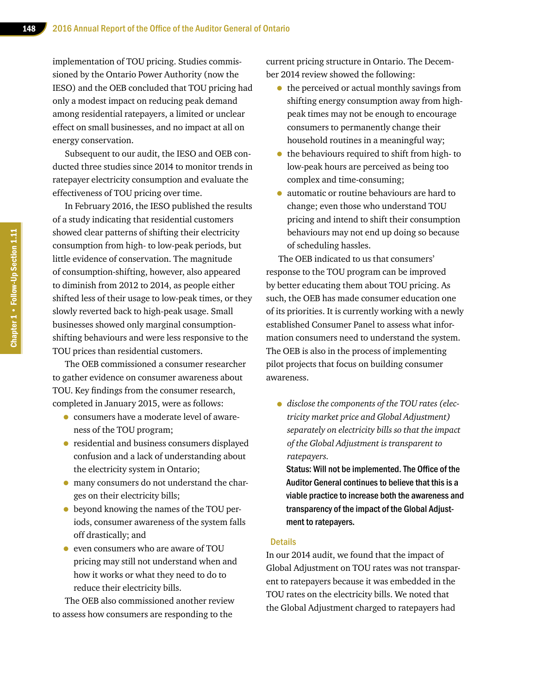implementation of TOU pricing. Studies commissioned by the Ontario Power Authority (now the IESO) and the OEB concluded that TOU pricing had only a modest impact on reducing peak demand among residential ratepayers, a limited or unclear effect on small businesses, and no impact at all on energy conservation.

Subsequent to our audit, the IESO and OEB conducted three studies since 2014 to monitor trends in ratepayer electricity consumption and evaluate the effectiveness of TOU pricing over time.

In February 2016, the IESO published the results of a study indicating that residential customers showed clear patterns of shifting their electricity consumption from high- to low-peak periods, but little evidence of conservation. The magnitude of consumption-shifting, however, also appeared to diminish from 2012 to 2014, as people either shifted less of their usage to low-peak times, or they slowly reverted back to high-peak usage. Small businesses showed only marginal consumptionshifting behaviours and were less responsive to the TOU prices than residential customers.

The OEB commissioned a consumer researcher to gather evidence on consumer awareness about TOU. Key findings from the consumer research, completed in January 2015, were as follows:

- consumers have a moderate level of awareness of the TOU program;
- residential and business consumers displayed confusion and a lack of understanding about the electricity system in Ontario;
- many consumers do not understand the charges on their electricity bills;
- beyond knowing the names of the TOU periods, consumer awareness of the system falls off drastically; and
- even consumers who are aware of TOU pricing may still not understand when and how it works or what they need to do to reduce their electricity bills.

The OEB also commissioned another review to assess how consumers are responding to the

current pricing structure in Ontario. The December 2014 review showed the following:

- the perceived or actual monthly savings from shifting energy consumption away from highpeak times may not be enough to encourage consumers to permanently change their household routines in a meaningful way;
- the behaviours required to shift from high- to low-peak hours are perceived as being too complex and time-consuming;
- automatic or routine behaviours are hard to change; even those who understand TOU pricing and intend to shift their consumption behaviours may not end up doing so because of scheduling hassles.

The OEB indicated to us that consumers' response to the TOU program can be improved by better educating them about TOU pricing. As such, the OEB has made consumer education one of its priorities. It is currently working with a newly established Consumer Panel to assess what information consumers need to understand the system. The OEB is also in the process of implementing pilot projects that focus on building consumer awareness.

• *disclose the components of the TOU rates (electricity market price and Global Adjustment) separately on electricity bills so that the impact of the Global Adjustment is transparent to ratepayers.*

Status: Will not be implemented. The Office of the Auditor General continues to believe that this is a viable practice to increase both the awareness and transparency of the impact of the Global Adjustment to ratepayers.

#### **Details**

In our 2014 audit, we found that the impact of Global Adjustment on TOU rates was not transparent to ratepayers because it was embedded in the TOU rates on the electricity bills. We noted that the Global Adjustment charged to ratepayers had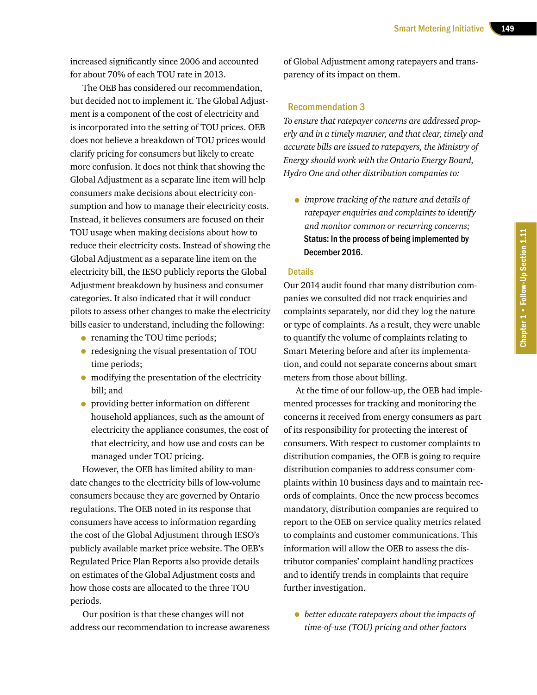increased significantly since 2006 and accounted for about 70% of each TOU rate in 2013.

The OEB has considered our recommendation, but decided not to implement it. The Global Adjustment is a component of the cost of electricity and is incorporated into the setting of TOU prices. OEB does not believe a breakdown of TOU prices would clarify pricing for consumers but likely to create more confusion. It does not think that showing the Global Adjustment as a separate line item will help consumers make decisions about electricity consumption and how to manage their electricity costs. Instead, it believes consumers are focused on their TOU usage when making decisions about how to reduce their electricity costs. Instead of showing the Global Adjustment as a separate line item on the electricity bill, the IESO publicly reports the Global Adjustment breakdown by business and consumer categories. It also indicated that it will conduct pilots to assess other changes to make the electricity bills easier to understand, including the following:

- renaming the TOU time periods;
- redesigning the visual presentation of TOU time periods;
- modifying the presentation of the electricity bill; and
- providing better information on different household appliances, such as the amount of electricity the appliance consumes, the cost of that electricity, and how use and costs can be managed under TOU pricing.

However, the OEB has limited ability to mandate changes to the electricity bills of low-volume consumers because they are governed by Ontario regulations. The OEB noted in its response that consumers have access to information regarding the cost of the Global Adjustment through IESO's publicly available market price website. The OEB's Regulated Price Plan Reports also provide details on estimates of the Global Adjustment costs and how those costs are allocated to the three TOU periods.

Our position is that these changes will not address our recommendation to increase awareness of Global Adjustment among ratepayers and transparency of its impact on them.

## Recommendation 3

*To ensure that ratepayer concerns are addressed properly and in a timely manner, and that clear, timely and accurate bills are issued to ratepayers, the Ministry of Energy should work with the Ontario Energy Board, Hydro One and other distribution companies to:*

• *improve tracking of the nature and details of ratepayer enquiries and complaints to identify and monitor common or recurring concerns;* Status: In the process of being implemented by December 2016.

#### **Details**

Our 2014 audit found that many distribution companies we consulted did not track enquiries and complaints separately, nor did they log the nature or type of complaints. As a result, they were unable to quantify the volume of complaints relating to Smart Metering before and after its implementation, and could not separate concerns about smart meters from those about billing.

At the time of our follow-up, the OEB had implemented processes for tracking and monitoring the concerns it received from energy consumers as part of its responsibility for protecting the interest of consumers. With respect to customer complaints to distribution companies, the OEB is going to require distribution companies to address consumer complaints within 10 business days and to maintain records of complaints. Once the new process becomes mandatory, distribution companies are required to report to the OEB on service quality metrics related to complaints and customer communications. This information will allow the OEB to assess the distributor companies' complaint handling practices and to identify trends in complaints that require further investigation.

• *better educate ratepayers about the impacts of time-of-use (TOU) pricing and other factors*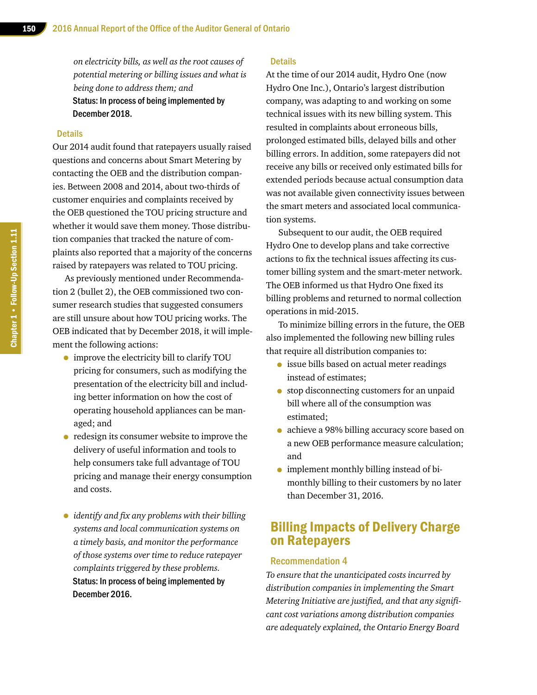*on electricity bills, as well as the root causes of potential metering or billing issues and what is being done to address them; and* Status: In process of being implemented by December 2018.

#### **Details**

Our 2014 audit found that ratepayers usually raised questions and concerns about Smart Metering by contacting the OEB and the distribution companies. Between 2008 and 2014, about two-thirds of customer enquiries and complaints received by the OEB questioned the TOU pricing structure and whether it would save them money. Those distribution companies that tracked the nature of complaints also reported that a majority of the concerns raised by ratepayers was related to TOU pricing.

As previously mentioned under Recommendation 2 (bullet 2), the OEB commissioned two consumer research studies that suggested consumers are still unsure about how TOU pricing works. The OEB indicated that by December 2018, it will implement the following actions:

- improve the electricity bill to clarify TOU pricing for consumers, such as modifying the presentation of the electricity bill and including better information on how the cost of operating household appliances can be managed; and
- redesign its consumer website to improve the delivery of useful information and tools to help consumers take full advantage of TOU pricing and manage their energy consumption and costs.
- • *identify and fix any problems with their billing systems and local communication systems on a timely basis, and monitor the performance of those systems over time to reduce ratepayer complaints triggered by these problems.* Status: In process of being implemented by December 2016.

#### **Details**

At the time of our 2014 audit, Hydro One (now Hydro One Inc.), Ontario's largest distribution company, was adapting to and working on some technical issues with its new billing system. This resulted in complaints about erroneous bills, prolonged estimated bills, delayed bills and other billing errors. In addition, some ratepayers did not receive any bills or received only estimated bills for extended periods because actual consumption data was not available given connectivity issues between the smart meters and associated local communication systems.

Subsequent to our audit, the OEB required Hydro One to develop plans and take corrective actions to fix the technical issues affecting its customer billing system and the smart-meter network. The OEB informed us that Hydro One fixed its billing problems and returned to normal collection operations in mid-2015.

To minimize billing errors in the future, the OEB also implemented the following new billing rules that require all distribution companies to:

- issue bills based on actual meter readings instead of estimates;
- stop disconnecting customers for an unpaid bill where all of the consumption was estimated;
- achieve a 98% billing accuracy score based on a new OEB performance measure calculation; and
- implement monthly billing instead of bimonthly billing to their customers by no later than December 31, 2016.

# Billing Impacts of Delivery Charge on Ratepayers

#### Recommendation 4

*To ensure that the unanticipated costs incurred by distribution companies in implementing the Smart Metering Initiative are justified, and that any significant cost variations among distribution companies are adequately explained, the Ontario Energy Board*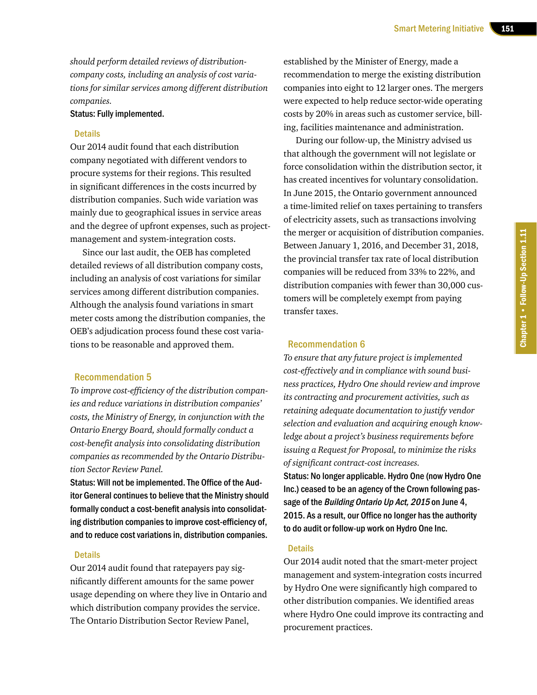*should perform detailed reviews of distributioncompany costs, including an analysis of cost variations for similar services among different distribution companies.*

#### Status: Fully implemented.

#### **Details**

Our 2014 audit found that each distribution company negotiated with different vendors to procure systems for their regions. This resulted in significant differences in the costs incurred by distribution companies. Such wide variation was mainly due to geographical issues in service areas and the degree of upfront expenses, such as projectmanagement and system-integration costs.

Since our last audit, the OEB has completed detailed reviews of all distribution company costs, including an analysis of cost variations for similar services among different distribution companies. Although the analysis found variations in smart meter costs among the distribution companies, the OEB's adjudication process found these cost variations to be reasonable and approved them.

#### Recommendation 5

*To improve cost-efficiency of the distribution companies and reduce variations in distribution companies' costs, the Ministry of Energy, in conjunction with the Ontario Energy Board, should formally conduct a cost-benefit analysis into consolidating distribution companies as recommended by the Ontario Distribution Sector Review Panel.*

Status: Will not be implemented. The Office of the Auditor General continues to believe that the Ministry should formally conduct a cost-benefit analysis into consolidating distribution companies to improve cost-efficiency of, and to reduce cost variations in, distribution companies.

#### **Details**

Our 2014 audit found that ratepayers pay significantly different amounts for the same power usage depending on where they live in Ontario and which distribution company provides the service. The Ontario Distribution Sector Review Panel,

established by the Minister of Energy, made a recommendation to merge the existing distribution companies into eight to 12 larger ones. The mergers were expected to help reduce sector-wide operating costs by 20% in areas such as customer service, billing, facilities maintenance and administration.

During our follow-up, the Ministry advised us that although the government will not legislate or force consolidation within the distribution sector, it has created incentives for voluntary consolidation. In June 2015, the Ontario government announced a time-limited relief on taxes pertaining to transfers of electricity assets, such as transactions involving the merger or acquisition of distribution companies. Between January 1, 2016, and December 31, 2018, the provincial transfer tax rate of local distribution companies will be reduced from 33% to 22%, and distribution companies with fewer than 30,000 customers will be completely exempt from paying transfer taxes.

### Recommendation 6

*To ensure that any future project is implemented cost-effectively and in compliance with sound business practices, Hydro One should review and improve its contracting and procurement activities, such as retaining adequate documentation to justify vendor selection and evaluation and acquiring enough knowledge about a project's business requirements before issuing a Request for Proposal, to minimize the risks of significant contract-cost increases.*

Status: No longer applicable. Hydro One (now Hydro One Inc.) ceased to be an agency of the Crown following passage of the Building Ontario Up Act, 2015 on June 4, 2015. As a result, our Office no longer has the authority to do audit or follow-up work on Hydro One Inc.

#### **Details**

Our 2014 audit noted that the smart-meter project management and system-integration costs incurred by Hydro One were significantly high compared to other distribution companies. We identified areas where Hydro One could improve its contracting and procurement practices.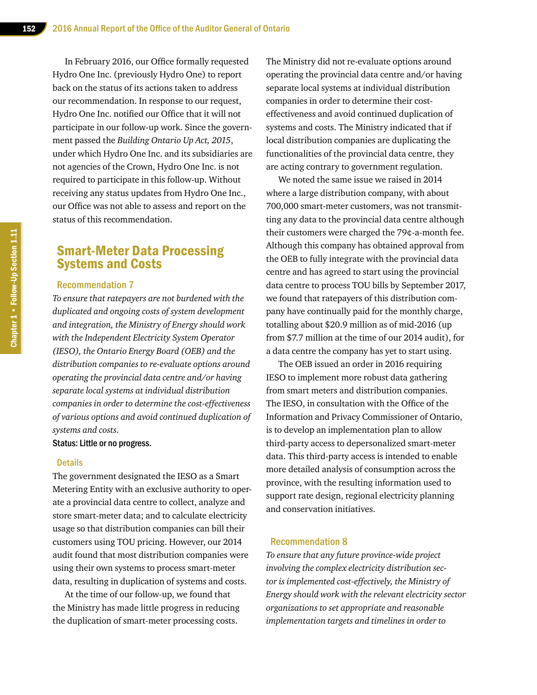In February 2016, our Office formally requested Hydro One Inc. (previously Hydro One) to report back on the status of its actions taken to address our recommendation. In response to our request, Hydro One Inc. notified our Office that it will not participate in our follow-up work. Since the government passed the *Building Ontario Up Act, 2015*, under which Hydro One Inc. and its subsidiaries are not agencies of the Crown, Hydro One Inc. is not required to participate in this follow-up. Without receiving any status updates from Hydro One Inc., our Office was not able to assess and report on the status of this recommendation.

## Smart-Meter Data Processing Systems and Costs

#### Recommendation 7

*To ensure that ratepayers are not burdened with the duplicated and ongoing costs of system development and integration, the Ministry of Energy should work with the Independent Electricity System Operator (IESO), the Ontario Energy Board (OEB) and the distribution companies to re-evaluate options around operating the provincial data centre and/or having separate local systems at individual distribution companies in order to determine the cost-effectiveness of various options and avoid continued duplication of systems and costs.*

Status: Little or no progress.

#### **Details**

The government designated the IESO as a Smart Metering Entity with an exclusive authority to operate a provincial data centre to collect, analyze and store smart-meter data; and to calculate electricity usage so that distribution companies can bill their customers using TOU pricing. However, our 2014 audit found that most distribution companies were using their own systems to process smart-meter data, resulting in duplication of systems and costs.

At the time of our follow-up, we found that the Ministry has made little progress in reducing the duplication of smart-meter processing costs.

The Ministry did not re-evaluate options around operating the provincial data centre and/or having separate local systems at individual distribution companies in order to determine their costeffectiveness and avoid continued duplication of systems and costs. The Ministry indicated that if local distribution companies are duplicating the functionalities of the provincial data centre, they are acting contrary to government regulation.

We noted the same issue we raised in 2014 where a large distribution company, with about 700,000 smart-meter customers, was not transmitting any data to the provincial data centre although their customers were charged the 79¢-a-month fee. Although this company has obtained approval from the OEB to fully integrate with the provincial data centre and has agreed to start using the provincial data centre to process TOU bills by September 2017, we found that ratepayers of this distribution company have continually paid for the monthly charge, totalling about \$20.9 million as of mid-2016 (up from \$7.7 million at the time of our 2014 audit), for a data centre the company has yet to start using.

The OEB issued an order in 2016 requiring IESO to implement more robust data gathering from smart meters and distribution companies. The IESO, in consultation with the Office of the Information and Privacy Commissioner of Ontario, is to develop an implementation plan to allow third-party access to depersonalized smart-meter data. This third-party access is intended to enable more detailed analysis of consumption across the province, with the resulting information used to support rate design, regional electricity planning and conservation initiatives.

#### Recommendation 8

*To ensure that any future province-wide project involving the complex electricity distribution sector is implemented cost-effectively, the Ministry of Energy should work with the relevant electricity sector organizations to set appropriate and reasonable implementation targets and timelines in order to*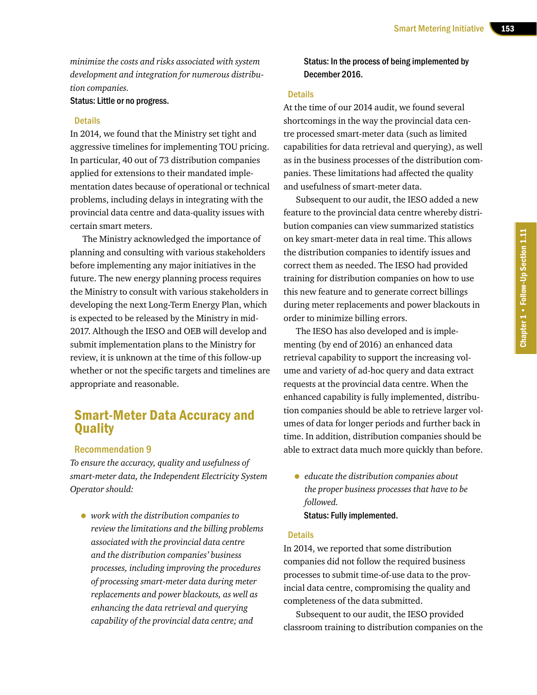*minimize the costs and risks associated with system development and integration for numerous distribution companies.*

Status: Little or no progress.

#### Details

In 2014, we found that the Ministry set tight and aggressive timelines for implementing TOU pricing. In particular, 40 out of 73 distribution companies applied for extensions to their mandated implementation dates because of operational or technical problems, including delays in integrating with the provincial data centre and data-quality issues with certain smart meters.

The Ministry acknowledged the importance of planning and consulting with various stakeholders before implementing any major initiatives in the future. The new energy planning process requires the Ministry to consult with various stakeholders in developing the next Long-Term Energy Plan, which is expected to be released by the Ministry in mid-2017. Although the IESO and OEB will develop and submit implementation plans to the Ministry for review, it is unknown at the time of this follow-up whether or not the specific targets and timelines are appropriate and reasonable.

# Smart-Meter Data Accuracy and **Quality**

#### Recommendation 9

*To ensure the accuracy, quality and usefulness of smart-meter data, the Independent Electricity System Operator should:* 

• *work with the distribution companies to review the limitations and the billing problems associated with the provincial data centre and the distribution companies' business processes, including improving the procedures of processing smart-meter data during meter replacements and power blackouts, as well as enhancing the data retrieval and querying capability of the provincial data centre; and*

## Status: In the process of being implemented by December 2016.

#### **Details**

At the time of our 2014 audit, we found several shortcomings in the way the provincial data centre processed smart-meter data (such as limited capabilities for data retrieval and querying), as well as in the business processes of the distribution companies. These limitations had affected the quality and usefulness of smart-meter data.

Subsequent to our audit, the IESO added a new feature to the provincial data centre whereby distribution companies can view summarized statistics on key smart-meter data in real time. This allows the distribution companies to identify issues and correct them as needed. The IESO had provided training for distribution companies on how to use this new feature and to generate correct billings during meter replacements and power blackouts in order to minimize billing errors.

The IESO has also developed and is implementing (by end of 2016) an enhanced data retrieval capability to support the increasing volume and variety of ad-hoc query and data extract requests at the provincial data centre. When the enhanced capability is fully implemented, distribution companies should be able to retrieve larger volumes of data for longer periods and further back in time. In addition, distribution companies should be able to extract data much more quickly than before.

• *educate the distribution companies about the proper business processes that have to be followed.* Status: Fully implemented.

#### **Details**

In 2014, we reported that some distribution companies did not follow the required business processes to submit time-of-use data to the provincial data centre, compromising the quality and completeness of the data submitted.

Subsequent to our audit, the IESO provided classroom training to distribution companies on the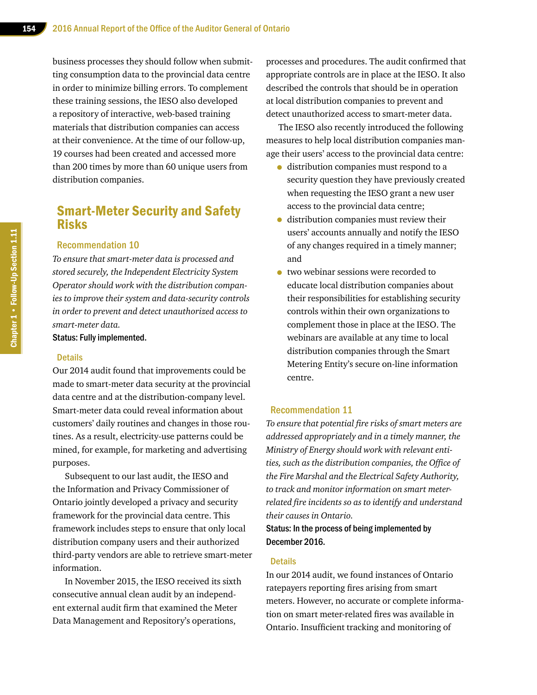business processes they should follow when submitting consumption data to the provincial data centre in order to minimize billing errors. To complement these training sessions, the IESO also developed a repository of interactive, web-based training materials that distribution companies can access at their convenience. At the time of our follow-up, 19 courses had been created and accessed more than 200 times by more than 60 unique users from distribution companies.

## Smart-Meter Security and Safety Risks

#### Recommendation 10

*To ensure that smart-meter data is processed and stored securely, the Independent Electricity System Operator should work with the distribution companies to improve their system and data-security controls in order to prevent and detect unauthorized access to smart-meter data.*

Status: Fully implemented.

#### **Details**

Our 2014 audit found that improvements could be made to smart-meter data security at the provincial data centre and at the distribution-company level. Smart-meter data could reveal information about customers' daily routines and changes in those routines. As a result, electricity-use patterns could be mined, for example, for marketing and advertising purposes.

Subsequent to our last audit, the IESO and the Information and Privacy Commissioner of Ontario jointly developed a privacy and security framework for the provincial data centre. This framework includes steps to ensure that only local distribution company users and their authorized third-party vendors are able to retrieve smart-meter information.

In November 2015, the IESO received its sixth consecutive annual clean audit by an independent external audit firm that examined the Meter Data Management and Repository's operations,

processes and procedures. The audit confirmed that appropriate controls are in place at the IESO. It also described the controls that should be in operation at local distribution companies to prevent and detect unauthorized access to smart-meter data.

The IESO also recently introduced the following measures to help local distribution companies manage their users' access to the provincial data centre:

- distribution companies must respond to a security question they have previously created when requesting the IESO grant a new user access to the provincial data centre;
- distribution companies must review their users' accounts annually and notify the IESO of any changes required in a timely manner; and
- two webinar sessions were recorded to educate local distribution companies about their responsibilities for establishing security controls within their own organizations to complement those in place at the IESO. The webinars are available at any time to local distribution companies through the Smart Metering Entity's secure on-line information centre.

### Recommendation 11

*To ensure that potential fire risks of smart meters are addressed appropriately and in a timely manner, the Ministry of Energy should work with relevant entities, such as the distribution companies, the Office of the Fire Marshal and the Electrical Safety Authority, to track and monitor information on smart meterrelated fire incidents so as to identify and understand their causes in Ontario.*

Status: In the process of being implemented by December 2016.

#### **Details**

In our 2014 audit, we found instances of Ontario ratepayers reporting fires arising from smart meters. However, no accurate or complete information on smart meter-related fires was available in Ontario. Insufficient tracking and monitoring of